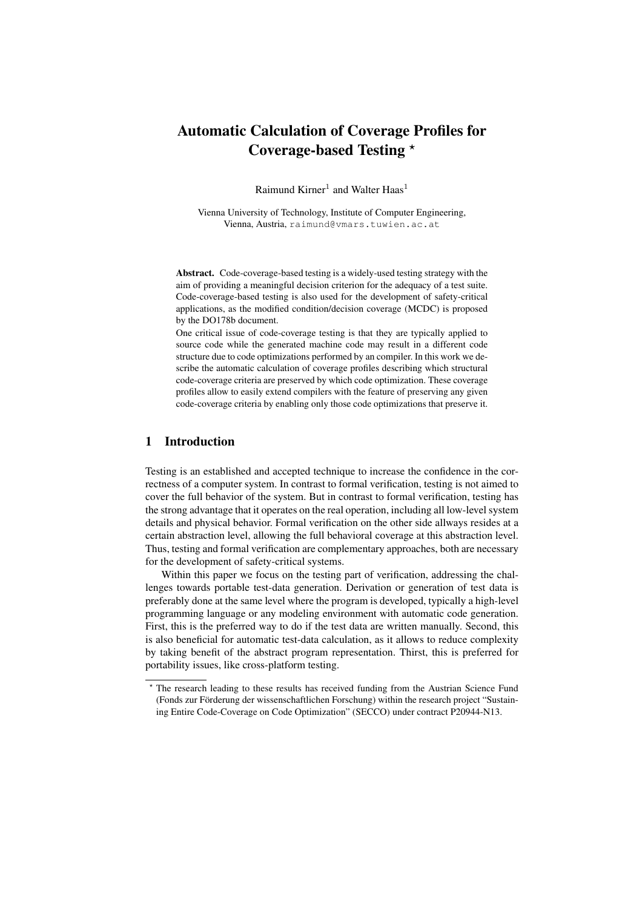# Automatic Calculation of Coverage Profiles for Coverage-based Testing ?

Raimund Kirner<sup>1</sup> and Walter Haas<sup>1</sup>

Vienna University of Technology, Institute of Computer Engineering, Vienna, Austria, raimund@vmars.tuwien.ac.at

Abstract. Code-coverage-based testing is a widely-used testing strategy with the aim of providing a meaningful decision criterion for the adequacy of a test suite. Code-coverage-based testing is also used for the development of safety-critical applications, as the modified condition/decision coverage (MCDC) is proposed by the DO178b document.

One critical issue of code-coverage testing is that they are typically applied to source code while the generated machine code may result in a different code structure due to code optimizations performed by an compiler. In this work we describe the automatic calculation of coverage profiles describing which structural code-coverage criteria are preserved by which code optimization. These coverage profiles allow to easily extend compilers with the feature of preserving any given code-coverage criteria by enabling only those code optimizations that preserve it.

# 1 Introduction

Testing is an established and accepted technique to increase the confidence in the correctness of a computer system. In contrast to formal verification, testing is not aimed to cover the full behavior of the system. But in contrast to formal verification, testing has the strong advantage that it operates on the real operation, including all low-level system details and physical behavior. Formal verification on the other side allways resides at a certain abstraction level, allowing the full behavioral coverage at this abstraction level. Thus, testing and formal verification are complementary approaches, both are necessary for the development of safety-critical systems.

Within this paper we focus on the testing part of verification, addressing the challenges towards portable test-data generation. Derivation or generation of test data is preferably done at the same level where the program is developed, typically a high-level programming language or any modeling environment with automatic code generation. First, this is the preferred way to do if the test data are written manually. Second, this is also beneficial for automatic test-data calculation, as it allows to reduce complexity by taking benefit of the abstract program representation. Thirst, this is preferred for portability issues, like cross-platform testing.

<sup>?</sup> The research leading to these results has received funding from the Austrian Science Fund (Fonds zur Förderung der wissenschaftlichen Forschung) within the research project "Sustaining Entire Code-Coverage on Code Optimization" (SECCO) under contract P20944-N13.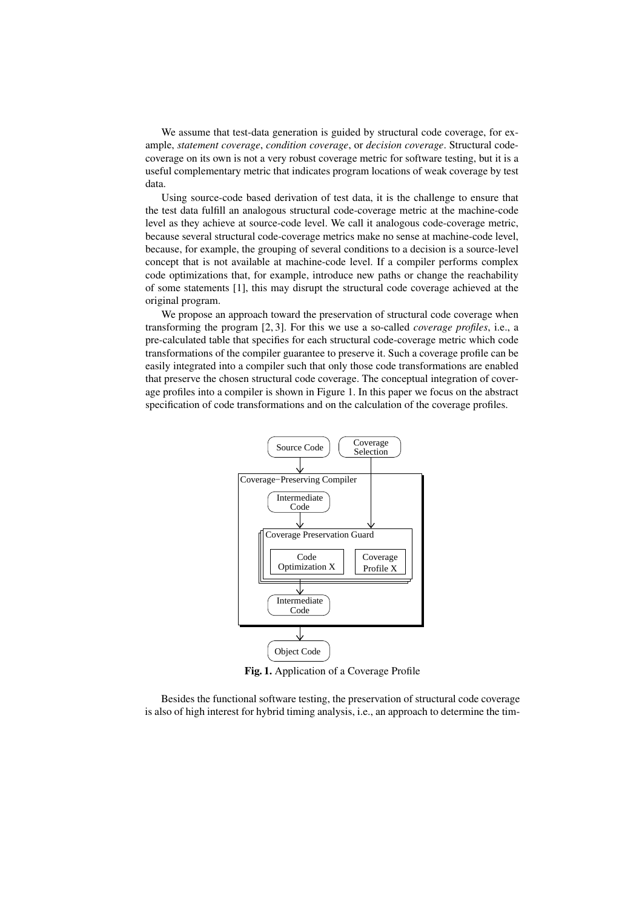We assume that test-data generation is guided by structural code coverage, for example, *statement coverage*, *condition coverage*, or *decision coverage*. Structural codecoverage on its own is not a very robust coverage metric for software testing, but it is a useful complementary metric that indicates program locations of weak coverage by test data.

Using source-code based derivation of test data, it is the challenge to ensure that the test data fulfill an analogous structural code-coverage metric at the machine-code level as they achieve at source-code level. We call it analogous code-coverage metric, because several structural code-coverage metrics make no sense at machine-code level, because, for example, the grouping of several conditions to a decision is a source-level concept that is not available at machine-code level. If a compiler performs complex code optimizations that, for example, introduce new paths or change the reachability of some statements [1], this may disrupt the structural code coverage achieved at the original program.

We propose an approach toward the preservation of structural code coverage when transforming the program [2, 3]. For this we use a so-called *coverage profiles*, i.e., a pre-calculated table that specifies for each structural code-coverage metric which code transformations of the compiler guarantee to preserve it. Such a coverage profile can be easily integrated into a compiler such that only those code transformations are enabled that preserve the chosen structural code coverage. The conceptual integration of coverage profiles into a compiler is shown in Figure 1. In this paper we focus on the abstract specification of code transformations and on the calculation of the coverage profiles.



Fig. 1. Application of a Coverage Profile

Besides the functional software testing, the preservation of structural code coverage is also of high interest for hybrid timing analysis, i.e., an approach to determine the tim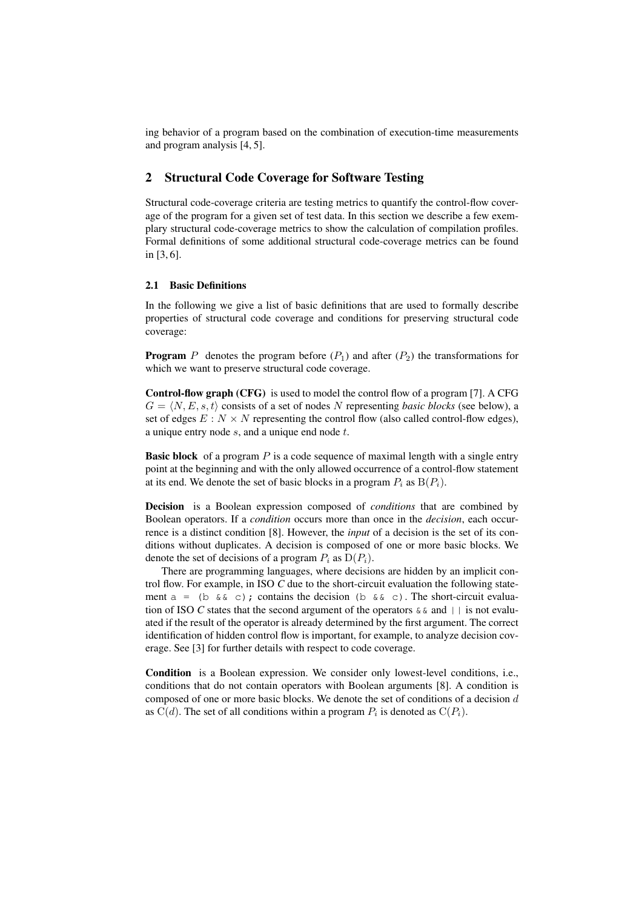ing behavior of a program based on the combination of execution-time measurements and program analysis [4, 5].

# 2 Structural Code Coverage for Software Testing

Structural code-coverage criteria are testing metrics to quantify the control-flow coverage of the program for a given set of test data. In this section we describe a few exemplary structural code-coverage metrics to show the calculation of compilation profiles. Formal definitions of some additional structural code-coverage metrics can be found in [3, 6].

## 2.1 Basic Definitions

In the following we give a list of basic definitions that are used to formally describe properties of structural code coverage and conditions for preserving structural code coverage:

**Program** P denotes the program before  $(P_1)$  and after  $(P_2)$  the transformations for which we want to preserve structural code coverage.

Control-flow graph (CFG) is used to model the control flow of a program [7]. A CFG  $G = \langle N, E, s, t \rangle$  consists of a set of nodes N representing *basic blocks* (see below), a set of edges  $E : N \times N$  representing the control flow (also called control-flow edges), a unique entry node s, and a unique end node t.

**Basic block** of a program  $P$  is a code sequence of maximal length with a single entry point at the beginning and with the only allowed occurrence of a control-flow statement at its end. We denote the set of basic blocks in a program  $P_i$  as  $B(P_i)$ .

Decision is a Boolean expression composed of *conditions* that are combined by Boolean operators. If a *condition* occurs more than once in the *decision*, each occurrence is a distinct condition [8]. However, the *input* of a decision is the set of its conditions without duplicates. A decision is composed of one or more basic blocks. We denote the set of decisions of a program  $P_i$  as  $D(P_i)$ .

There are programming languages, where decisions are hidden by an implicit control flow. For example, in ISO *C* due to the short-circuit evaluation the following statement a = (b  $&c$ ); contains the decision (b  $&c$ ). The short-circuit evaluation of ISO *C* states that the second argument of the operators  $\&&\&\text{ and }||\&\text{ is not evalu-}$ ated if the result of the operator is already determined by the first argument. The correct identification of hidden control flow is important, for example, to analyze decision coverage. See [3] for further details with respect to code coverage.

Condition is a Boolean expression. We consider only lowest-level conditions, i.e., conditions that do not contain operators with Boolean arguments [8]. A condition is composed of one or more basic blocks. We denote the set of conditions of a decision  $d$ as  $C(d)$ . The set of all conditions within a program  $P_i$  is denoted as  $C(P_i)$ .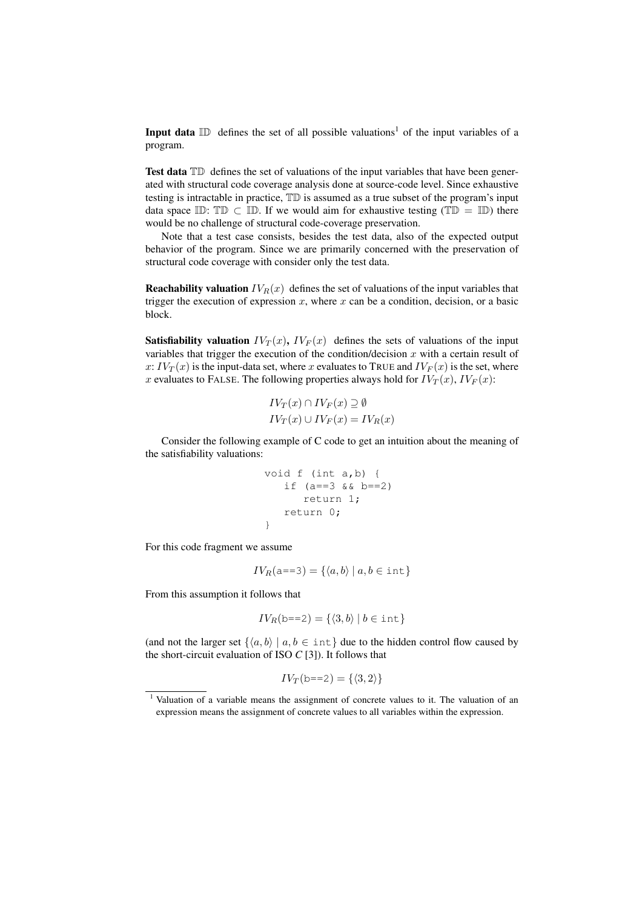**Input data**  $\mathbb{ID}$  defines the set of all possible valuations<sup>1</sup> of the input variables of a program.

Test data  $T\mathbb{D}$  defines the set of valuations of the input variables that have been generated with structural code coverage analysis done at source-code level. Since exhaustive testing is intractable in practice, TD is assumed as a true subset of the program's input data space ID: TD  $\subset$  ID. If we would aim for exhaustive testing (TD = ID) there would be no challenge of structural code-coverage preservation.

Note that a test case consists, besides the test data, also of the expected output behavior of the program. Since we are primarily concerned with the preservation of structural code coverage with consider only the test data.

**Reachability valuation**  $IV_R(x)$  defines the set of valuations of the input variables that trigger the execution of expression  $x$ , where  $x$  can be a condition, decision, or a basic block.

**Satisfiability valuation**  $IV_T(x)$ ,  $IV_F(x)$  defines the sets of valuations of the input variables that trigger the execution of the condition/decision  $x$  with a certain result of x:  $IV_T(x)$  is the input-data set, where x evaluates to TRUE and  $IV_F(x)$  is the set, where x evaluates to FALSE. The following properties always hold for  $IV_T(x)$ ,  $IV_F(x)$ :

$$
IV_T(x) \cap IV_F(x) \supseteq \emptyset
$$
  

$$
IV_T(x) \cup IV_F(x) = IV_R(x)
$$

Consider the following example of C code to get an intuition about the meaning of the satisfiability valuations:

void f (int a,b) { if (a==3 && b==2) return 1; return 0; }

For this code fragment we assume

$$
IV_R(a == 3) = \{ \langle a, b \rangle \mid a, b \in \text{int} \}
$$

From this assumption it follows that

$$
IV_R(b == 2) = \{ \langle 3, b \rangle \mid b \in \text{int} \}
$$

(and not the larger set  $\{\langle a, b \rangle | a, b \in \text{int}\}\$  due to the hidden control flow caused by the short-circuit evaluation of ISO *C* [3]). It follows that

$$
IV_T(\text{b==2}) = \{ \langle 3, 2 \rangle \}
$$

 $1$  Valuation of a variable means the assignment of concrete values to it. The valuation of an expression means the assignment of concrete values to all variables within the expression.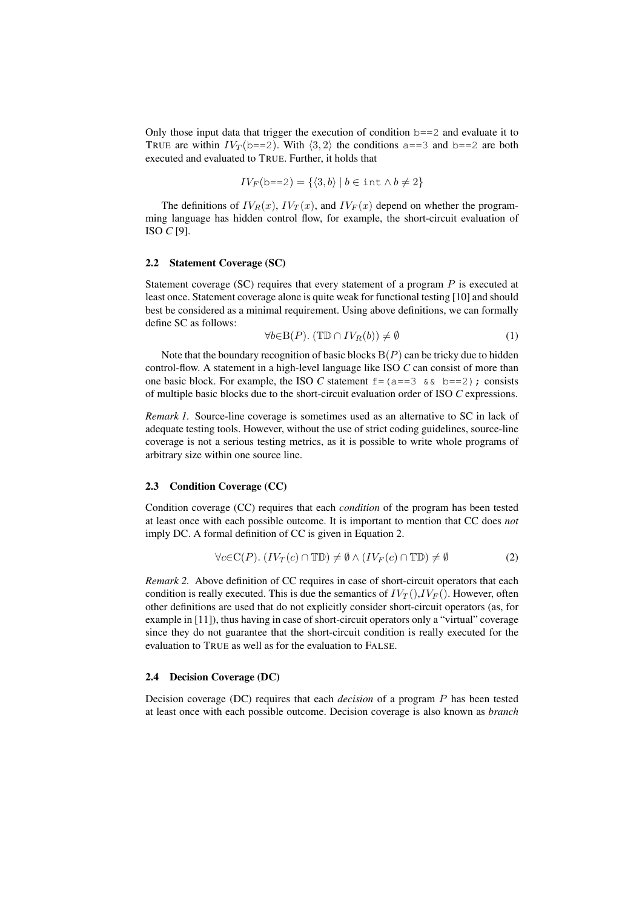Only those input data that trigger the execution of condition  $b == 2$  and evaluate it to TRUE are within  $IV_T(b == 2)$ . With  $\langle 3, 2 \rangle$  the conditions a==3 and b==2 are both executed and evaluated to TRUE. Further, it holds that

$$
IV_F(b == 2) = \{ \langle 3, b \rangle \mid b \in \text{int} \land b \neq 2 \}
$$

The definitions of  $IV_R(x)$ ,  $IV_T(x)$ , and  $IV_F(x)$  depend on whether the programming language has hidden control flow, for example, the short-circuit evaluation of ISO *C* [9].

### 2.2 Statement Coverage (SC)

Statement coverage (SC) requires that every statement of a program P is executed at least once. Statement coverage alone is quite weak for functional testing [10] and should best be considered as a minimal requirement. Using above definitions, we can formally define SC as follows:

$$
\forall b \in B(P). (T\mathbb{D} \cap IV_R(b)) \neq \emptyset \tag{1}
$$

Note that the boundary recognition of basic blocks  $B(P)$  can be tricky due to hidden control-flow. A statement in a high-level language like ISO *C* can consist of more than one basic block. For example, the ISO *C* statement  $f = (a == 3 \& b == 2)$ ; consists of multiple basic blocks due to the short-circuit evaluation order of ISO *C* expressions.

*Remark 1.* Source-line coverage is sometimes used as an alternative to SC in lack of adequate testing tools. However, without the use of strict coding guidelines, source-line coverage is not a serious testing metrics, as it is possible to write whole programs of arbitrary size within one source line.

#### 2.3 Condition Coverage (CC)

Condition coverage (CC) requires that each *condition* of the program has been tested at least once with each possible outcome. It is important to mention that CC does *not* imply DC. A formal definition of CC is given in Equation 2.

$$
\forall c \in \mathcal{C}(P). (IV_T(c) \cap \mathbb{TD}) \neq \emptyset \land (IV_F(c) \cap \mathbb{TD}) \neq \emptyset \tag{2}
$$

*Remark 2.* Above definition of CC requires in case of short-circuit operators that each condition is really executed. This is due the semantics of  $IV_T()$ ,  $IV_F()$ . However, often other definitions are used that do not explicitly consider short-circuit operators (as, for example in [11]), thus having in case of short-circuit operators only a "virtual" coverage since they do not guarantee that the short-circuit condition is really executed for the evaluation to TRUE as well as for the evaluation to FALSE.

## 2.4 Decision Coverage (DC)

Decision coverage (DC) requires that each *decision* of a program P has been tested at least once with each possible outcome. Decision coverage is also known as *branch*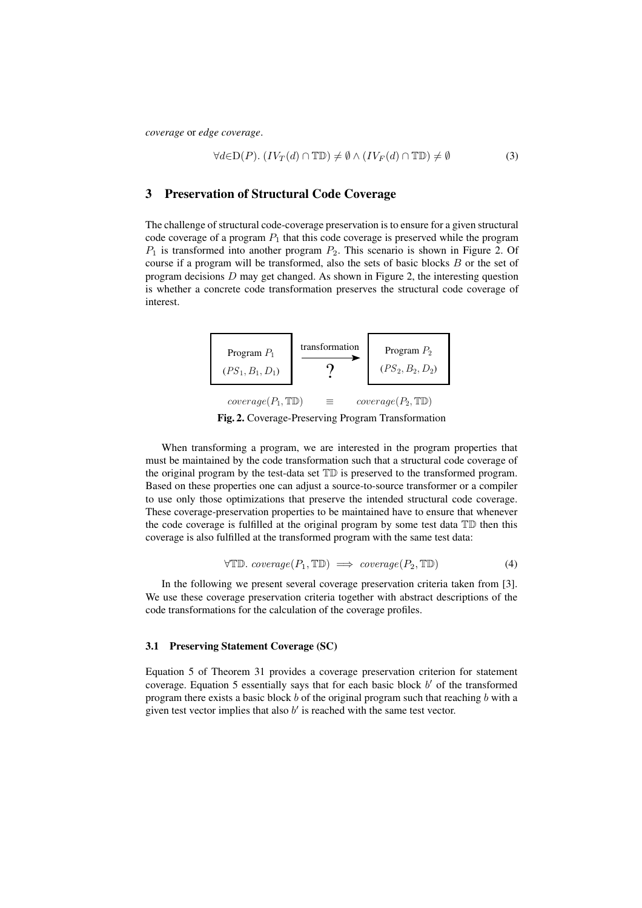*coverage* or *edge coverage*.

$$
\forall d \in D(P). (IV_T(d) \cap \mathbb{TD}) \neq \emptyset \land (IV_F(d) \cap \mathbb{TD}) \neq \emptyset \tag{3}
$$

# 3 Preservation of Structural Code Coverage

The challenge of structural code-coverage preservation is to ensure for a given structural code coverage of a program  $P_1$  that this code coverage is preserved while the program  $P_1$  is transformed into another program  $P_2$ . This scenario is shown in Figure 2. Of course if a program will be transformed, also the sets of basic blocks B or the set of program decisions D may get changed. As shown in Figure 2, the interesting question is whether a concrete code transformation preserves the structural code coverage of interest.



Fig. 2. Coverage-Preserving Program Transformation

When transforming a program, we are interested in the program properties that must be maintained by the code transformation such that a structural code coverage of the original program by the test-data set TD is preserved to the transformed program. Based on these properties one can adjust a source-to-source transformer or a compiler to use only those optimizations that preserve the intended structural code coverage. These coverage-preservation properties to be maintained have to ensure that whenever the code coverage is fulfilled at the original program by some test data TD then this coverage is also fulfilled at the transformed program with the same test data:

$$
\forall \mathbb{TD}. \text{ coverage}(P_1, \mathbb{TD}) \implies \text{coverage}(P_2, \mathbb{TD}) \tag{4}
$$

In the following we present several coverage preservation criteria taken from [3]. We use these coverage preservation criteria together with abstract descriptions of the code transformations for the calculation of the coverage profiles.

### 3.1 Preserving Statement Coverage (SC)

Equation 5 of Theorem 31 provides a coverage preservation criterion for statement coverage. Equation 5 essentially says that for each basic block  $b'$  of the transformed program there exists a basic block  $b$  of the original program such that reaching  $b$  with a given test vector implies that also  $b'$  is reached with the same test vector.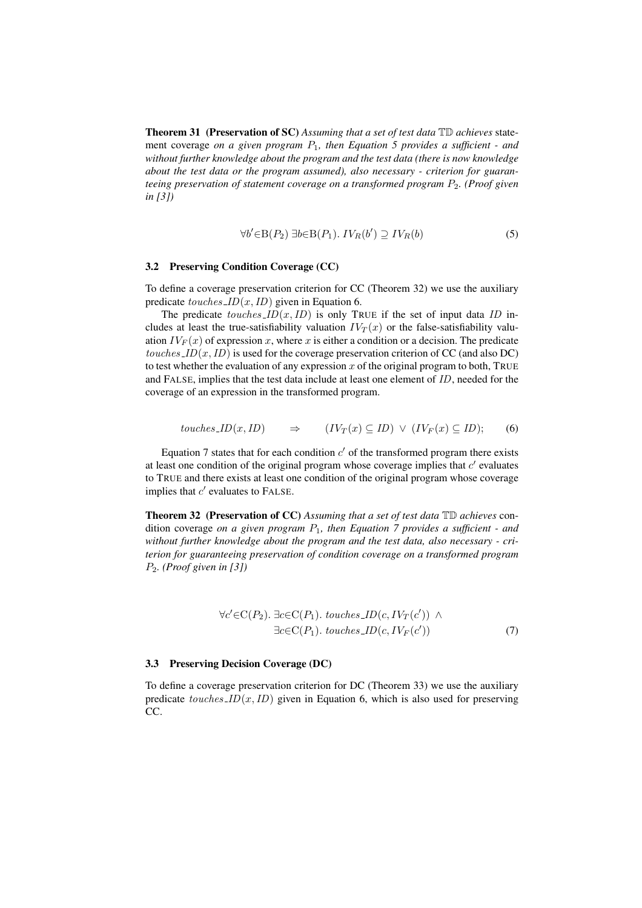Theorem 31 (Preservation of SC) *Assuming that a set of test data* TD *achieves* statement coverage *on a given program* P1*, then Equation 5 provides a sufficient - and without further knowledge about the program and the test data (there is now knowledge about the test data or the program assumed), also necessary - criterion for guaranteeing preservation of statement coverage on a transformed program P<sub>2</sub>. (Proof given*) *in [3])*

$$
\forall b' \in B(P_2) \exists b \in B(P_1). \; IV_R(b') \supseteq IV_R(b)
$$
 (5)

# 3.2 Preserving Condition Coverage (CC)

To define a coverage preservation criterion for CC (Theorem 32) we use the auxiliary predicate  $touches\_ID(x, ID)$  given in Equation 6.

The predicate  $touches\_ID(x, ID)$  is only TRUE if the set of input data ID includes at least the true-satisfiability valuation  $IV_T(x)$  or the false-satisfiability valuation  $IV_F(x)$  of expression x, where x is either a condition or a decision. The predicate touches  $ID(x, ID)$  is used for the coverage preservation criterion of CC (and also DC) to test whether the evaluation of any expression x of the original program to both. TRUE and FALSE, implies that the test data include at least one element of ID, needed for the coverage of an expression in the transformed program.

$$
touches\_ID(x, ID) \qquad \Rightarrow \qquad (IV_T(x) \subseteq ID) \ \lor \ (IV_F(x) \subseteq ID); \qquad (6)
$$

Equation 7 states that for each condition  $c'$  of the transformed program there exists at least one condition of the original program whose coverage implies that  $c'$  evaluates to TRUE and there exists at least one condition of the original program whose coverage implies that  $c'$  evaluates to FALSE.

Theorem 32 (Preservation of CC) *Assuming that a set of test data* TD *achieves* condition coverage *on a given program* P1*, then Equation 7 provides a sufficient - and without further knowledge about the program and the test data, also necessary - criterion for guaranteeing preservation of condition coverage on a transformed program* P2*. (Proof given in [3])*

$$
\forall c' \in C(P_2). \exists c \in C(P_1). \; touches\_ID(c, IV_T(c')) \land \exists c \in C(P_1). \; touches\_ID(c, IV_F(c')) \tag{7}
$$

### 3.3 Preserving Decision Coverage (DC)

To define a coverage preservation criterion for DC (Theorem 33) we use the auxiliary predicate touches  $ID(x, ID)$  given in Equation 6, which is also used for preserving CC.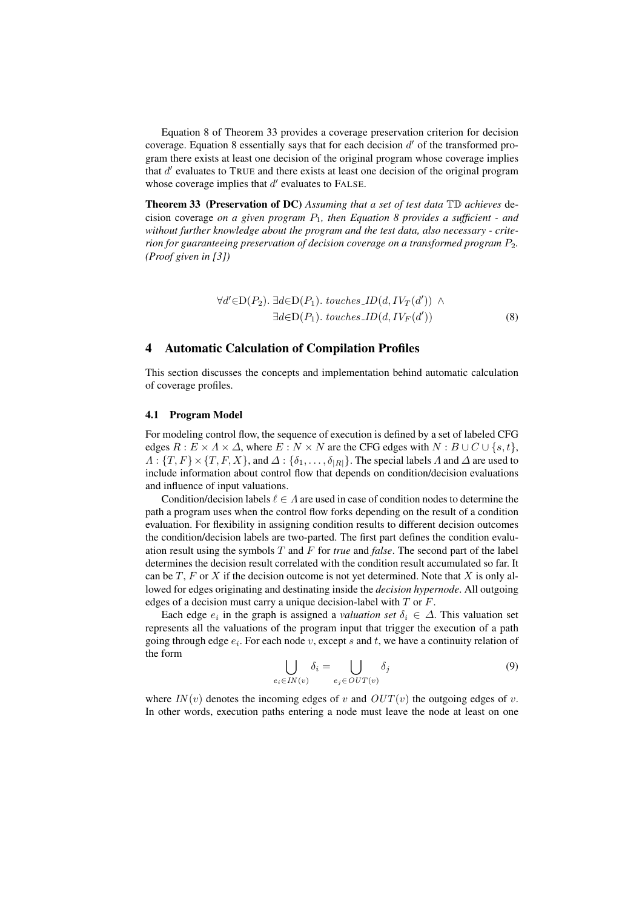Equation 8 of Theorem 33 provides a coverage preservation criterion for decision coverage. Equation 8 essentially says that for each decision  $d'$  of the transformed program there exists at least one decision of the original program whose coverage implies that  $d'$  evaluates to TRUE and there exists at least one decision of the original program whose coverage implies that  $d'$  evaluates to FALSE.

Theorem 33 (Preservation of DC) *Assuming that a set of test data* TD *achieves* decision coverage *on a given program* P1*, then Equation 8 provides a sufficient - and without further knowledge about the program and the test data, also necessary - criterion for guaranteeing preservation of decision coverage on a transformed program*  $P_2$ . *(Proof given in [3])*

$$
\forall d' \in D(P_2). \exists d \in D(P_1). \; touches\_ID(d, IV_T(d')) \land \exists d \in D(P_1). \; touches\_ID(d, IV_F(d')) \tag{8}
$$

# 4 Automatic Calculation of Compilation Profiles

This section discusses the concepts and implementation behind automatic calculation of coverage profiles.

#### 4.1 Program Model

For modeling control flow, the sequence of execution is defined by a set of labeled CFG edges  $R : E \times A \times \Delta$ , where  $E : N \times N$  are the CFG edges with  $N : B \cup C \cup \{s, t\}$ ,  $\Lambda: \{T, F\} \times \{T, F, X\}$ , and  $\Delta: \{\delta_1, \ldots, \delta_{|R|}\}$ . The special labels  $\Lambda$  and  $\Delta$  are used to include information about control flow that depends on condition/decision evaluations and influence of input valuations.

Condition/decision labels  $\ell \in \Lambda$  are used in case of condition nodes to determine the path a program uses when the control flow forks depending on the result of a condition evaluation. For flexibility in assigning condition results to different decision outcomes the condition/decision labels are two-parted. The first part defines the condition evaluation result using the symbols T and F for *true* and *false*. The second part of the label determines the decision result correlated with the condition result accumulated so far. It can be  $T$ ,  $F$  or  $X$  if the decision outcome is not yet determined. Note that  $X$  is only allowed for edges originating and destinating inside the *decision hypernode*. All outgoing edges of a decision must carry a unique decision-label with  $T$  or  $F$ .

Each edge  $e_i$  in the graph is assigned a *valuation set*  $\delta_i \in \Delta$ . This valuation set represents all the valuations of the program input that trigger the execution of a path going through edge  $e_i$ . For each node v, except s and t, we have a continuity relation of the form  $\overline{\phantom{a}}$  $\overline{\phantom{a}}$ 

$$
\bigcup_{e_i \in IN(v)} \delta_i = \bigcup_{e_j \in OUT(v)} \delta_j \tag{9}
$$

where  $IN(v)$  denotes the incoming edges of v and  $OUT(v)$  the outgoing edges of v. In other words, execution paths entering a node must leave the node at least on one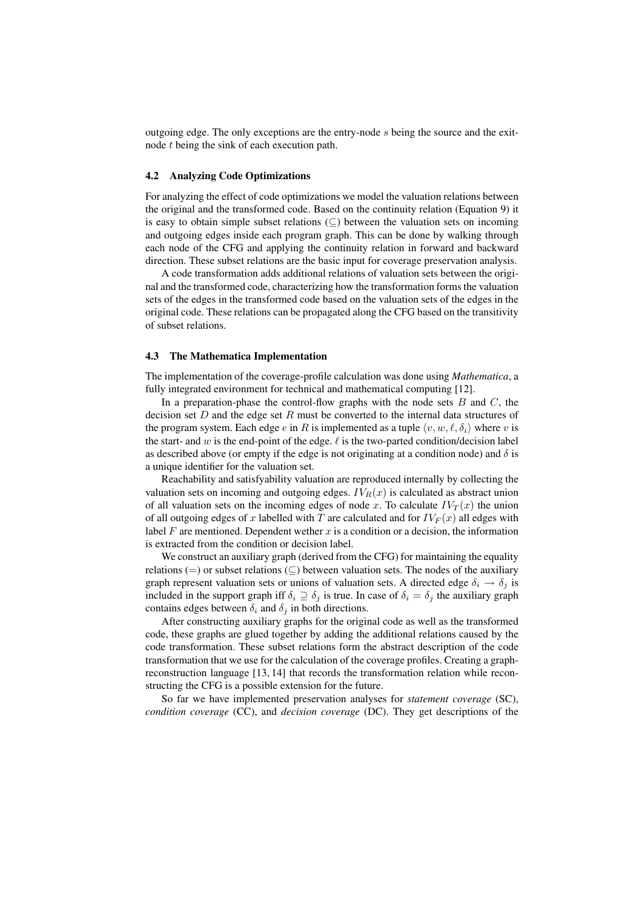outgoing edge. The only exceptions are the entry-node s being the source and the exitnode t being the sink of each execution path.

### 4.2 Analyzing Code Optimizations

For analyzing the effect of code optimizations we model the valuation relations between the original and the transformed code. Based on the continuity relation (Equation 9) it is easy to obtain simple subset relations  $(\subseteq)$  between the valuation sets on incoming and outgoing edges inside each program graph. This can be done by walking through each node of the CFG and applying the continuity relation in forward and backward direction. These subset relations are the basic input for coverage preservation analysis.

A code transformation adds additional relations of valuation sets between the original and the transformed code, characterizing how the transformation forms the valuation sets of the edges in the transformed code based on the valuation sets of the edges in the original code. These relations can be propagated along the CFG based on the transitivity of subset relations.

#### 4.3 The Mathematica Implementation

The implementation of the coverage-profile calculation was done using *Mathematica*, a fully integrated environment for technical and mathematical computing [12].

In a preparation-phase the control-flow graphs with the node sets  $B$  and  $C$ , the decision set  $D$  and the edge set  $R$  must be converted to the internal data structures of the program system. Each edge e in R is implemented as a tuple  $\langle v, w, \ell, \delta_i \rangle$  where v is the start- and w is the end-point of the edge.  $\ell$  is the two-parted condition/decision label as described above (or empty if the edge is not originating at a condition node) and  $\delta$  is a unique identifier for the valuation set.

Reachability and satisfyability valuation are reproduced internally by collecting the valuation sets on incoming and outgoing edges.  $IV_R(x)$  is calculated as abstract union of all valuation sets on the incoming edges of node x. To calculate  $IV_T(x)$  the union of all outgoing edges of x labelled with T are calculated and for  $IV_F(x)$  all edges with label F are mentioned. Dependent wether x is a condition or a decision, the information is extracted from the condition or decision label.

We construct an auxiliary graph (derived from the CFG) for maintaining the equality relations (=) or subset relations ( $\subseteq$ ) between valuation sets. The nodes of the auxiliary graph represent valuation sets or unions of valuation sets. A directed edge  $\delta_i \rightarrow \delta_j$  is included in the support graph iff  $\delta_i \supseteq \delta_j$  is true. In case of  $\delta_i = \delta_j$  the auxiliary graph contains edges between  $\delta_i$  and  $\delta_j$  in both directions.

After constructing auxiliary graphs for the original code as well as the transformed code, these graphs are glued together by adding the additional relations caused by the code transformation. These subset relations form the abstract description of the code transformation that we use for the calculation of the coverage profiles. Creating a graphreconstruction language [13, 14] that records the transformation relation while reconstructing the CFG is a possible extension for the future.

So far we have implemented preservation analyses for *statement coverage* (SC), *condition coverage* (CC), and *decision coverage* (DC). They get descriptions of the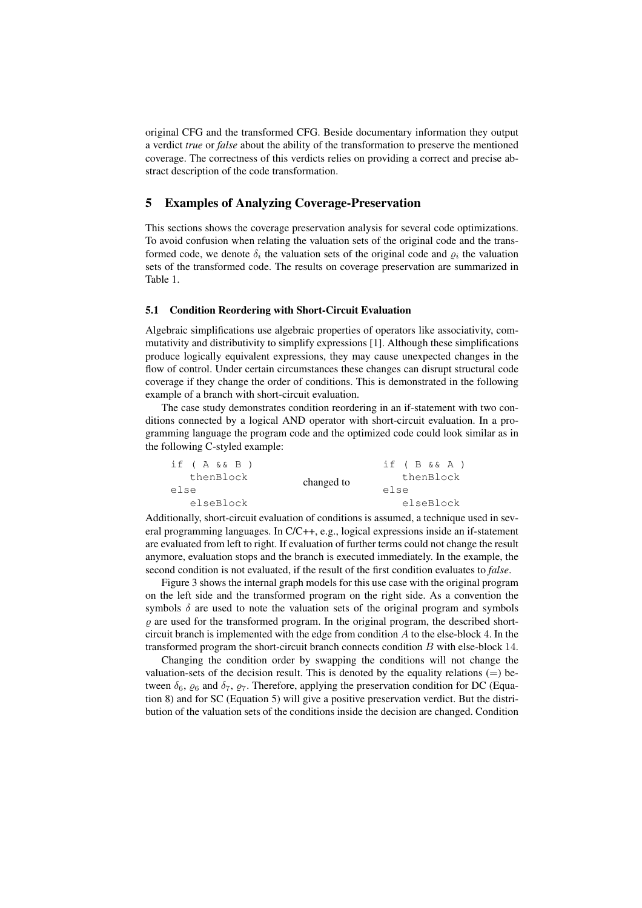original CFG and the transformed CFG. Beside documentary information they output a verdict *true* or *false* about the ability of the transformation to preserve the mentioned coverage. The correctness of this verdicts relies on providing a correct and precise abstract description of the code transformation.

# 5 Examples of Analyzing Coverage-Preservation

This sections shows the coverage preservation analysis for several code optimizations. To avoid confusion when relating the valuation sets of the original code and the transformed code, we denote  $\delta_i$  the valuation sets of the original code and  $\rho_i$  the valuation sets of the transformed code. The results on coverage preservation are summarized in Table 1.

### 5.1 Condition Reordering with Short-Circuit Evaluation

Algebraic simplifications use algebraic properties of operators like associativity, commutativity and distributivity to simplify expressions [1]. Although these simplifications produce logically equivalent expressions, they may cause unexpected changes in the flow of control. Under certain circumstances these changes can disrupt structural code coverage if they change the order of conditions. This is demonstrated in the following example of a branch with short-circuit evaluation.

The case study demonstrates condition reordering in an if-statement with two conditions connected by a logical AND operator with short-circuit evaluation. In a programming language the program code and the optimized code could look similar as in the following C-styled example:

| if $(A \& B)$ |            | if (B&&A) |
|---------------|------------|-----------|
| thenBlock     | changed to | thenBlock |
| else          |            | else      |
| elseBlock     |            | elseBlock |

Additionally, short-circuit evaluation of conditions is assumed, a technique used in several programming languages. In C/C++, e.g., logical expressions inside an if-statement are evaluated from left to right. If evaluation of further terms could not change the result anymore, evaluation stops and the branch is executed immediately. In the example, the second condition is not evaluated, if the result of the first condition evaluates to *false*.

Figure 3 shows the internal graph models for this use case with the original program on the left side and the transformed program on the right side. As a convention the symbols  $\delta$  are used to note the valuation sets of the original program and symbols  $\rho$  are used for the transformed program. In the original program, the described shortcircuit branch is implemented with the edge from condition  $\vec{A}$  to the else-block 4. In the transformed program the short-circuit branch connects condition B with else-block 14.

Changing the condition order by swapping the conditions will not change the valuation-sets of the decision result. This is denoted by the equality relations  $(=)$  between  $\delta_6$ ,  $\varrho_6$  and  $\delta_7$ ,  $\varrho_7$ . Therefore, applying the preservation condition for DC (Equation 8) and for SC (Equation 5) will give a positive preservation verdict. But the distribution of the valuation sets of the conditions inside the decision are changed. Condition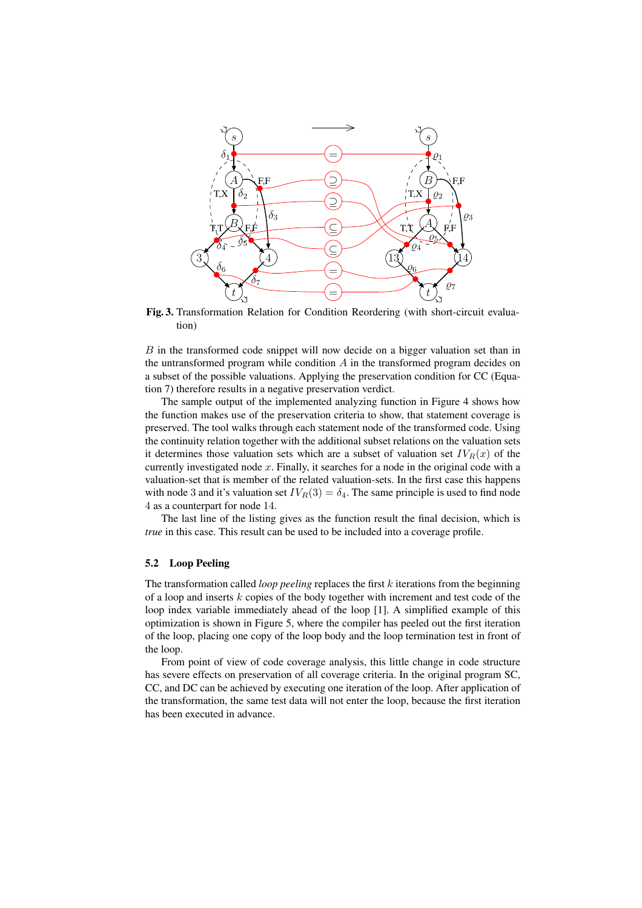

Fig. 3. Transformation Relation for Condition Reordering (with short-circuit evaluation)

B in the transformed code snippet will now decide on a bigger valuation set than in the untransformed program while condition  $\vec{A}$  in the transformed program decides on a subset of the possible valuations. Applying the preservation condition for CC (Equation 7) therefore results in a negative preservation verdict.

The sample output of the implemented analyzing function in Figure 4 shows how the function makes use of the preservation criteria to show, that statement coverage is preserved. The tool walks through each statement node of the transformed code. Using the continuity relation together with the additional subset relations on the valuation sets it determines those valuation sets which are a subset of valuation set  $IV_R(x)$  of the currently investigated node  $x$ . Finally, it searches for a node in the original code with a valuation-set that is member of the related valuation-sets. In the first case this happens with node 3 and it's valuation set  $IV_R(3) = \delta_4$ . The same principle is used to find node 4 as a counterpart for node 14.

The last line of the listing gives as the function result the final decision, which is *true* in this case. This result can be used to be included into a coverage profile.

# 5.2 Loop Peeling

The transformation called *loop peeling* replaces the first k iterations from the beginning of a loop and inserts k copies of the body together with increment and test code of the loop index variable immediately ahead of the loop [1]. A simplified example of this optimization is shown in Figure 5, where the compiler has peeled out the first iteration of the loop, placing one copy of the loop body and the loop termination test in front of the loop.

From point of view of code coverage analysis, this little change in code structure has severe effects on preservation of all coverage criteria. In the original program SC, CC, and DC can be achieved by executing one iteration of the loop. After application of the transformation, the same test data will not enter the loop, because the first iteration has been executed in advance.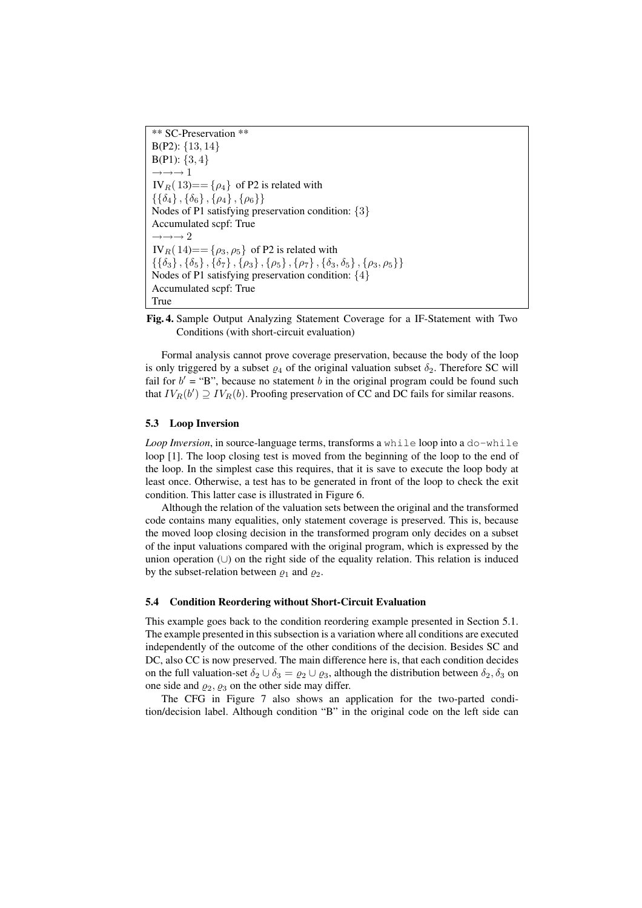\*\* SC-Preservation \*\* B(P2): {13, 14}  $B(P1): \{3, 4\}$  $\rightarrow \rightarrow \rightarrow 1$ IV<sub>R</sub>(13)==  $\{\rho_4\}$  of P2 is related with  $\{\{\delta_4\}, \{\delta_6\}, \{\rho_4\}, \{\rho_6\}\}\$ Nodes of P1 satisfying preservation condition: {3} Accumulated scpf: True  $\rightarrow \rightarrow \rightarrow 2$  $IV_R(14)=\{\rho_3,\rho_5\}$  of P2 is related with  $\{\{\delta_3\}, \{\delta_5\}, \{\delta_7\}, \{\rho_3\}, \{\rho_5\}, \{\rho_7\}, \{\delta_3, \delta_5\}, \{\rho_3, \rho_5\}\}\$ Nodes of P1 satisfying preservation condition: {4} Accumulated scpf: True True



Formal analysis cannot prove coverage preservation, because the body of the loop is only triggered by a subset  $\rho_4$  of the original valuation subset  $\delta_2$ . Therefore SC will fail for  $b' = "B"$ , because no statement b in the original program could be found such that  $IV_R(b') \supseteq IV_R(b)$ . Proofing preservation of CC and DC fails for similar reasons.

# 5.3 Loop Inversion

*Loop Inversion*, in source-language terms, transforms a while loop into a do-while loop [1]. The loop closing test is moved from the beginning of the loop to the end of the loop. In the simplest case this requires, that it is save to execute the loop body at least once. Otherwise, a test has to be generated in front of the loop to check the exit condition. This latter case is illustrated in Figure 6.

Although the relation of the valuation sets between the original and the transformed code contains many equalities, only statement coverage is preserved. This is, because the moved loop closing decision in the transformed program only decides on a subset of the input valuations compared with the original program, which is expressed by the union operation (∪) on the right side of the equality relation. This relation is induced by the subset-relation between  $\rho_1$  and  $\rho_2$ .

### 5.4 Condition Reordering without Short-Circuit Evaluation

This example goes back to the condition reordering example presented in Section 5.1. The example presented in this subsection is a variation where all conditions are executed independently of the outcome of the other conditions of the decision. Besides SC and DC, also CC is now preserved. The main difference here is, that each condition decides on the full valuation-set  $\delta_2 \cup \delta_3 = \varrho_2 \cup \varrho_3$ , although the distribution between  $\delta_2, \delta_3$  on one side and  $\varrho_2$ ,  $\varrho_3$  on the other side may differ.

The CFG in Figure 7 also shows an application for the two-parted condition/decision label. Although condition "B" in the original code on the left side can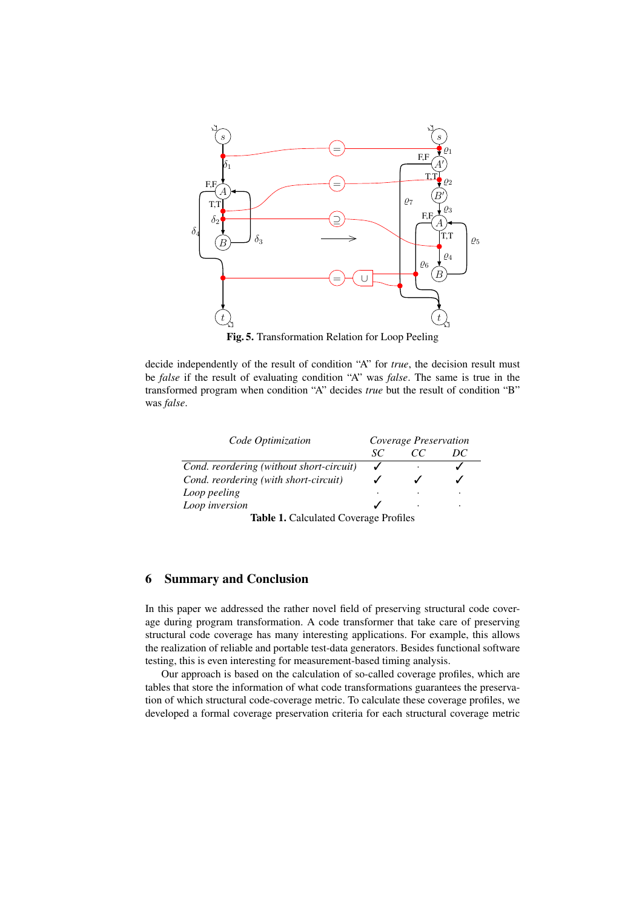

Fig. 5. Transformation Relation for Loop Peeling

decide independently of the result of condition "A" for *true*, the decision result must be *false* if the result of evaluating condition "A" was *false*. The same is true in the transformed program when condition "A" decides *true* but the result of condition "B" was *false*.

| Code Optimization                        | Coverage Preservation |          |         |
|------------------------------------------|-----------------------|----------|---------|
|                                          | SС                    | $\alpha$ | DC      |
| Cond. reordering (without short-circuit) |                       | ٠        |         |
| Cond. reordering (with short-circuit)    |                       |          |         |
| Loop peeling                             |                       |          | $\cdot$ |
| Loop inversion                           |                       | ٠        | ٠       |
| T1114011.10 T101                         |                       |          |         |

### Table 1. Calculated Coverage Profiles

# 6 Summary and Conclusion

In this paper we addressed the rather novel field of preserving structural code coverage during program transformation. A code transformer that take care of preserving structural code coverage has many interesting applications. For example, this allows the realization of reliable and portable test-data generators. Besides functional software testing, this is even interesting for measurement-based timing analysis.

Our approach is based on the calculation of so-called coverage profiles, which are tables that store the information of what code transformations guarantees the preservation of which structural code-coverage metric. To calculate these coverage profiles, we developed a formal coverage preservation criteria for each structural coverage metric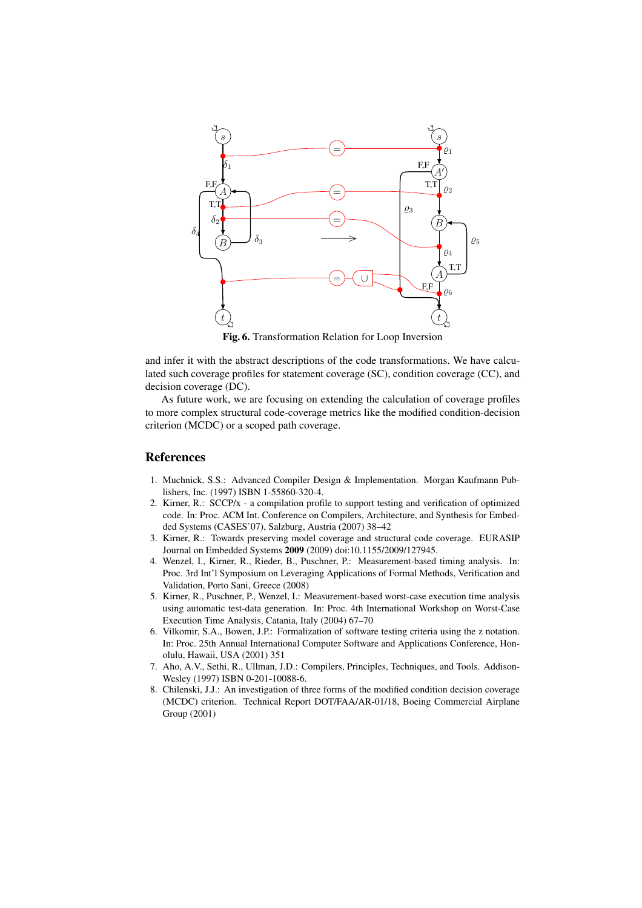

Fig. 6. Transformation Relation for Loop Inversion

and infer it with the abstract descriptions of the code transformations. We have calculated such coverage profiles for statement coverage (SC), condition coverage (CC), and decision coverage (DC).

As future work, we are focusing on extending the calculation of coverage profiles to more complex structural code-coverage metrics like the modified condition-decision criterion (MCDC) or a scoped path coverage.

# References

- 1. Muchnick, S.S.: Advanced Compiler Design & Implementation. Morgan Kaufmann Publishers, Inc. (1997) ISBN 1-55860-320-4.
- 2. Kirner, R.: SCCP/x a compilation profile to support testing and verification of optimized code. In: Proc. ACM Int. Conference on Compilers, Architecture, and Synthesis for Embedded Systems (CASES'07), Salzburg, Austria (2007) 38–42
- 3. Kirner, R.: Towards preserving model coverage and structural code coverage. EURASIP Journal on Embedded Systems 2009 (2009) doi:10.1155/2009/127945.
- 4. Wenzel, I., Kirner, R., Rieder, B., Puschner, P.: Measurement-based timing analysis. In: Proc. 3rd Int'l Symposium on Leveraging Applications of Formal Methods, Verification and Validation, Porto Sani, Greece (2008)
- 5. Kirner, R., Puschner, P., Wenzel, I.: Measurement-based worst-case execution time analysis using automatic test-data generation. In: Proc. 4th International Workshop on Worst-Case Execution Time Analysis, Catania, Italy (2004) 67–70
- 6. Vilkomir, S.A., Bowen, J.P.: Formalization of software testing criteria using the z notation. In: Proc. 25th Annual International Computer Software and Applications Conference, Honolulu, Hawaii, USA (2001) 351
- 7. Aho, A.V., Sethi, R., Ullman, J.D.: Compilers, Principles, Techniques, and Tools. Addison-Wesley (1997) ISBN 0-201-10088-6.
- 8. Chilenski, J.J.: An investigation of three forms of the modified condition decision coverage (MCDC) criterion. Technical Report DOT/FAA/AR-01/18, Boeing Commercial Airplane Group (2001)